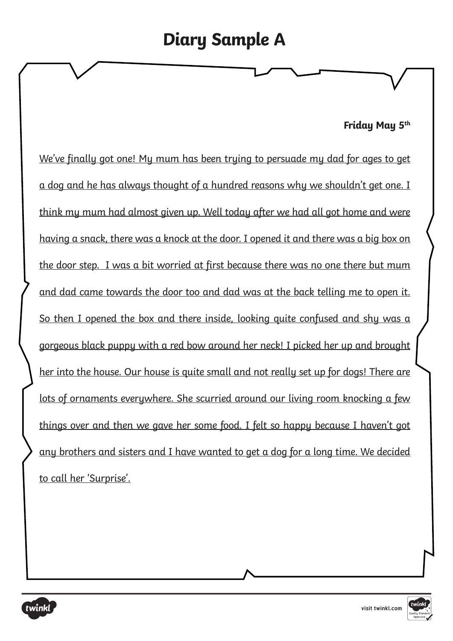# **Diary Sample A**

#### **Friday May 5th**

We've finally got one! My mum has been trying to persuade my dad for ages to get a dog and he has always thought of a hundred reasons why we shouldn't get one. I think my mum had almost given up. Well today after we had all got home and were having a snack, there was a knock at the door. I opened it and there was a big box on the door step. I was a bit worried at first because there was no one there but mum and dad came towards the door too and dad was at the back telling me to open it. So then I opened the box and there inside, looking quite confused and shy was a gorgeous black puppy with a red bow around her neck! I picked her up and brought her into the house. Our house is quite small and not really set up for dogs! There are lots of ornaments everywhere. She scurried around our living room knocking a few things over and then we gave her some food. I felt so happy because I haven't got any brothers and sisters and I have wanted to get a dog for a long time. We decided to call her 'Surprise'.

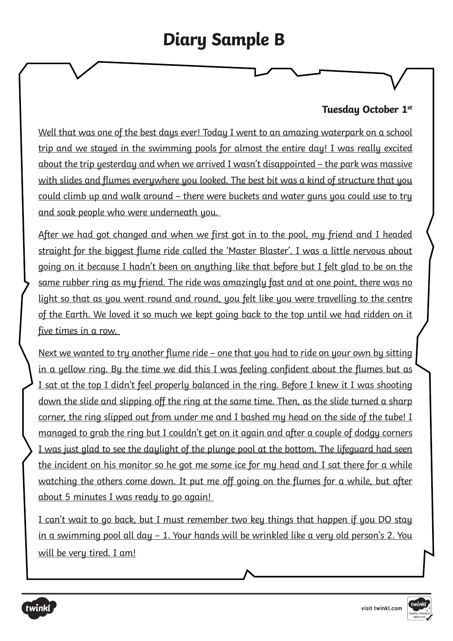## **Diary Sample B**

### **Tuesday October 1st**

Well that was one of the best days ever! Today I went to an amazing waterpark on a school trip and we stayed in the swimming pools for almost the entire day! I was really excited about the trip yesterday and when we arrived I wasn't disappointed – the park was massive with slides and flumes everywhere you looked. The best bit was a kind of structure that you could climb up and walk around – there were buckets and water guns you could use to try and soak people who were underneath you.

After we had got changed and when we first got in to the pool, my friend and I headed straight for the biggest flume ride called the 'Master Blaster'. I was a little nervous about going on it because I hadn't been on anything like that before but I felt glad to be on the same rubber ring as my friend. The ride was amazingly fast and at one point, there was no light so that as you went round and round, you felt like you were travelling to the centre of the Earth. We loved it so much we kept going back to the top until we had ridden on it five times in a row.

Next we wanted to try another flume ride – one that you had to ride on your own by sitting in a yellow ring. By the time we did this I was feeling confident about the flumes but as I sat at the top I didn't feel properly balanced in the ring. Before I knew it I was shooting down the slide and slipping off the ring at the same time. Then, as the slide turned a sharp corner, the ring slipped out from under me and I bashed my head on the side of the tube! I managed to grab the ring but I couldn't get on it again and after a couple of dodgy corners I was just glad to see the daylight of the plunge pool at the bottom. The lifeguard had seen the incident on his monitor so he got me some ice for my head and I sat there for a while watching the others come down. It put me off going on the flumes for a while, but after about 5 minutes I was ready to go again!

I can't wait to go back, but I must remember two key things that happen if you DO stay in a swimming pool all day – 1. Your hands will be wrinkled like a very old person's 2. You will be very tired. I am!